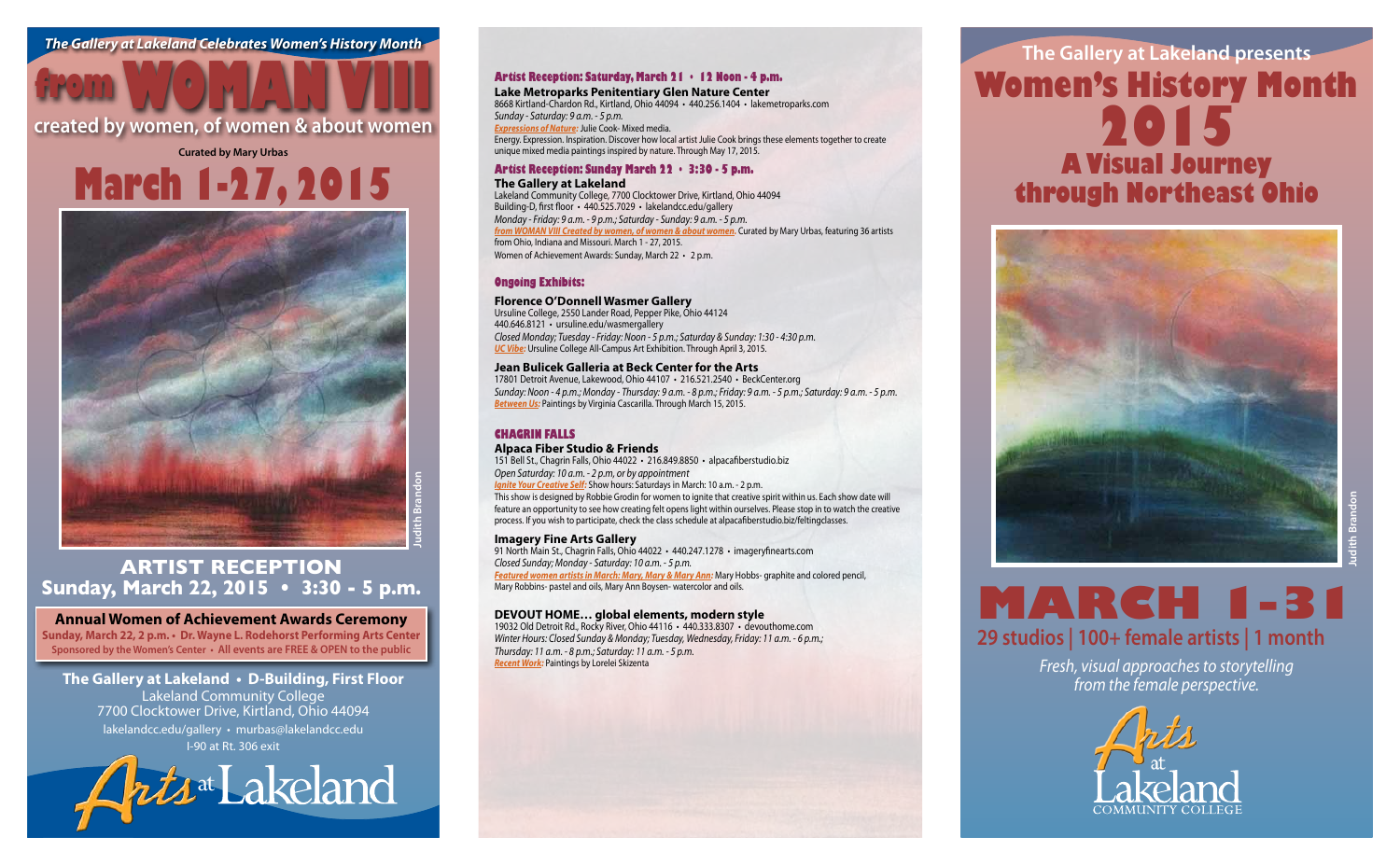## **The Gallery at Lakeland presents Women's History Month 2015 A Visual Journey through Northeast Ohio**



## **MARCH 1-31 29 studios | 100+ female artists | 1 month**

**Judith Brandon**

*Fresh, visual approaches to storytelling from the female perspective.*



**Curated by Mary Urbas**

## **Artist Reception Sunday, March 22, 2015 • 3:30 - 5 p.m.**

### **Annual Women of Achievement Awards Ceremony**

## **created by women, of women & about women from WOMAN VIII**

**Sunday, March 22, 2 p.m. • Dr. Wayne L. Rodehorst Performing Arts Center Sponsored by the Women's Center • All events are FREE & OPEN to the public**



# **March 1-27, 2015**

## **The Gallery at Lakeland • D-Building, First Floor**

Lakeland Community College 7700 Clocktower Drive, Kirtland, Ohio 44094 lakelandcc.edu/gallery • murbas@lakelandcc.edu I-90 at Rt. 306 exit

Kris<sup>at</sup> Lakeland

### **Artist Reception: Saturday, March 21 • 12 Noon - 4 p.m.**

### **Lake Metroparks Penitentiary Glen Nature Center** 8668 Kirtland-Chardon Rd., Kirtland, Ohio 44094 • 440.256.1404 • lakemetroparks.com

*Sunday - Saturday: 9 a.m. - 5 p.m. Expressions of Nature:* Julie Cook- Mixed media. Energy. Expression. Inspiration. Discover how local artist Julie Cook brings these elements together to create unique mixed media paintings inspired by nature. Through May 17, 2015.

## **Artist Reception: Sunday March 22 • 3:30 - 5 p.m.**

**The Gallery at Lakeland** Lakeland Community College, 7700 Clocktower Drive, Kirtland, Ohio 44094 Building-D, first floor • 440.525.7029 • lakelandcc.edu/gallery *Monday - Friday: 9 a.m. - 9 p.m.; Saturday - Sunday: 9 a.m. - 5 p.m. from WOMAN VIII Created by women, of women & about women.* Curated by Mary Urbas, featuring 36 artists from Ohio, Indiana and Missouri. March 1 - 27, 2015. Women of Achievement Awards: Sunday, March 22 • 2 p.m.

91 North Main St., Chagrin Falls, Ohio 44022 · 440.247.1278 · imageryfinearts.com *Closed Sunday; Monday - Saturday: 10 a.m. - 5 p.m. Featured women artists in March: Mary, Mary & Mary Ann:* Mary Hobbs- graphite and colored pencil, Mary Robbins- pastel and oils, Mary Ann Boysen- watercolor and oils.

### **Ongoing Exhibits:**

### **Florence O'Donnell Wasmer Gallery**

Ursuline College, 2550 Lander Road, Pepper Pike, Ohio 44124 440.646.8121 • ursuline.edu/wasmergallery *Closed Monday; Tuesday - Friday: Noon - 5 p.m.; Saturday & Sunday: 1:30 - 4:30 p.m. UC Vibe:* Ursuline College All-Campus Art Exhibition. Through April 3, 2015.

### **Jean Bulicek Galleria at Beck Center for the Arts**

17801 Detroit Avenue, Lakewood, Ohio 44107 • 216.521.2540 • BeckCenter.org *Sunday: Noon - 4 p.m.; Monday - Thursday: 9 a.m. - 8 p.m.; Friday: 9 a.m. - 5 p.m.; Saturday: 9 a.m. - 5 p.m. Between Us:* Paintings by Virginia Cascarilla. Through March 15, 2015.

### **Chagrin Falls**

### **Alpaca Fiber Studio & Friends**

151 Bell St., Chagrin Falls, Ohio 44022 • 216.849.8850 • alpacafiberstudio.biz *Open Saturday: 10 a.m. - 2 p.m, or by appointment Ignite Your Creative Self:* Show hours: Saturdays in March: 10 a.m. - 2 p.m. This show is designed by Robbie Grodin for women to ignite that creative spirit within us. Each show date will feature an opportunity to see how creating felt opens light within ourselves. Please stop in to watch the creative process. If you wish to participate, check the class schedule at alpacafiberstudio.biz/feltingclasses.

### **Imagery Fine Arts Gallery**

### **DEVOUT HOME… global elements, modern style**

19032 Old Detroit Rd., Rocky River, Ohio 44116 • 440.333.8307 • devouthome.com *Winter Hours: Closed Sunday & Monday; Tuesday, Wednesday, Friday: 11 a.m. - 6 p.m.; Thursday: 11 a.m. - 8 p.m.; Saturday: 11 a.m. - 5 p.m. Recent Work:* Paintings by Lorelei Skizenta

Kirtland, OH 44094